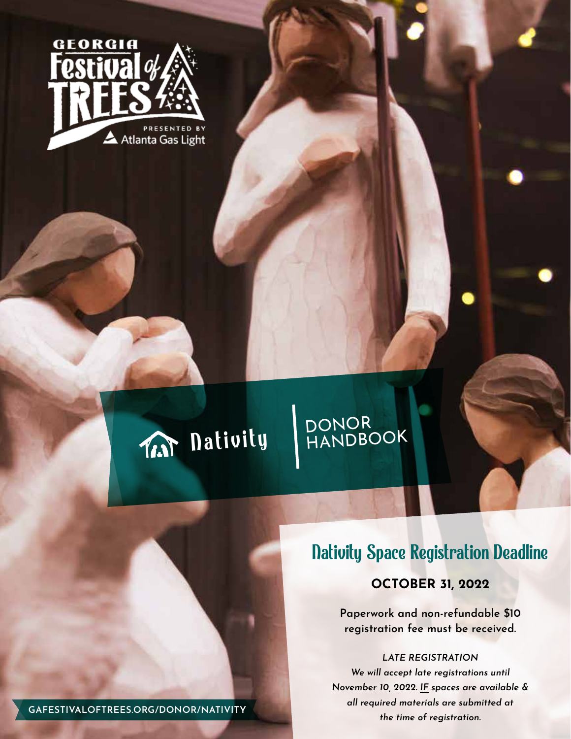



# DONOR<br>HANDBOOK

# Nativity Space Registration Deadline

**OCTOBER 31, 2022**

**Paperwork and non-refundable \$10 registration fee must be received.**

#### *LATE REGISTRATION*

*We will accept late registrations until November 10, 2022. IF spaces are available & all required materials are submitted at the time of registration.* **GAFESTIVALOFTREES.ORG/DONOR/NATIVITY**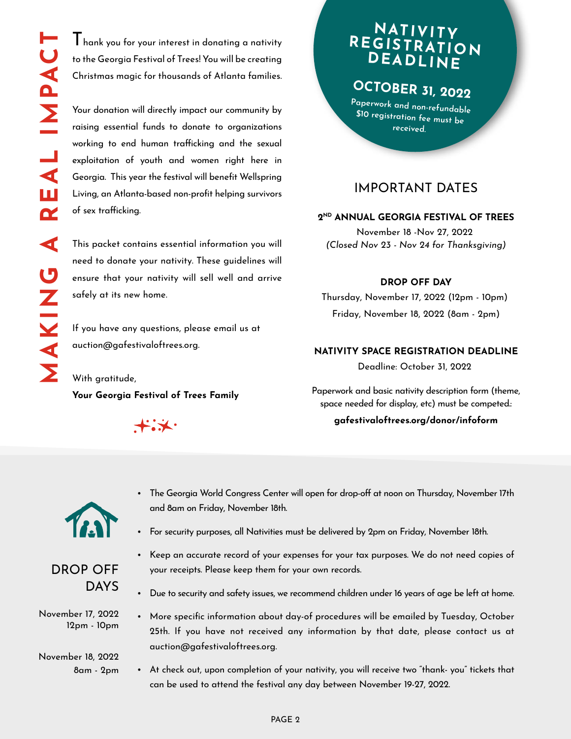$\mathbf I$  hank you for your interest in donating a nativity to the Georgia Festival of Trees! You will be creating Christmas magic for thousands of Atlanta families.

Your donation will directly impact our community by raising essential funds to donate to organizations working to end human trafficking and the sexual exploitation of youth and women right here in Georgia. This year the festival will benefit Wellspring Living, an Atlanta-based non-profit helping survivors of sex trafficking.

This packet contains essential information you will need to donate your nativity. These guidelines will ensure that your nativity will sell well and arrive safely at its new home.

If you have any questions, please email us at auction@gafestivaloftrees.org.

With gratitude, **Your Georgia Festival of Trees Family**



and 8am on Friday, November 18th.

# **NATIVITY REGISTRATION DEADLINE**

**OCTOBER 31, 2022**

**Paperwork and non-refundable \$10 registration fee must be received.**

### IMPORTANT DATES

#### **2ND ANNUAL GEORGIA FESTIVAL OF TREES**

November 18 -Nov 27, 2022 *(Closed Nov 23 - Nov 24 for Thanksgiving)*

#### **DROP OFF DAY**

Thursday, November 17, 2022 (12pm - 10pm) Friday, November 18, 2022 (8am - 2pm)

#### **NATIVITY SPACE REGISTRATION DEADLINE**

Deadline: October 31, 2022

Paperwork and basic nativity description form (theme, space needed for display, etc) must be competed.:

#### **gafestivaloftrees.org/donor/infoform**



• For security purposes, all Nativities must be delivered by 2pm on Friday, November 18th.

• The Georgia World Congress Center will open for drop-off at noon on Thursday, November 17th

- Keep an accurate record of your expenses for your tax purposes. We do not need copies of your receipts. Please keep them for your own records.
	- Due to security and safety issues, we recommend children under 16 years of age be left at home.
	- More specific information about day-of procedures will be emailed by Tuesday, October 25th. If you have not received any information by that date, please contact us at auction@gafestivaloftrees.org.
	- At check out, upon completion of your nativity, you will receive two "thank- you" tickets that can be used to attend the festival any day between November 19-27, 2022.



November 17, 2022 12pm - 10pm

November 18, 2022 8am - 2pm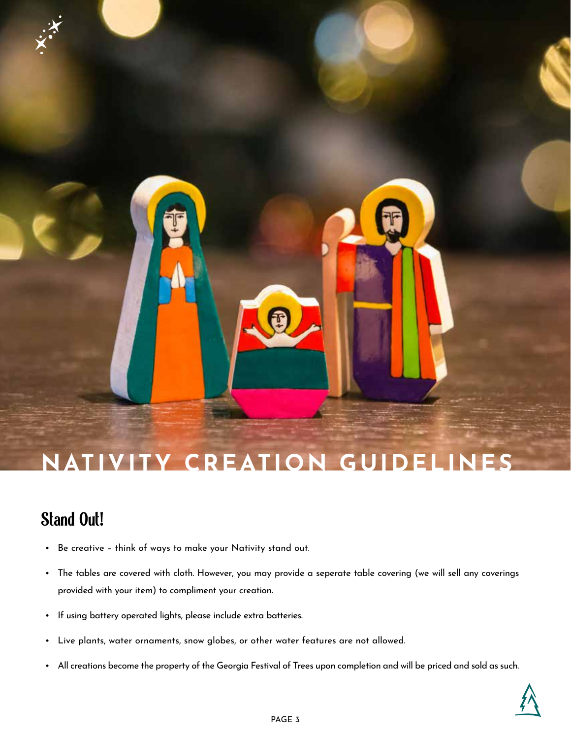# **NATIVITY CREATION GUIDELINES**

# Stand Out!

- Be creative think of ways to make your Nativity stand out.
- The tables are covered with cloth. However, you may provide a seperate table covering (we will sell any coverings provided with your item) to compliment your creation.
- If using battery operated lights, please include extra batteries.
- Live plants, water ornaments, snow globes, or other water features are not allowed.
- All creations become the property of the Georgia Festival of Trees upon completion and will be priced and sold as such.

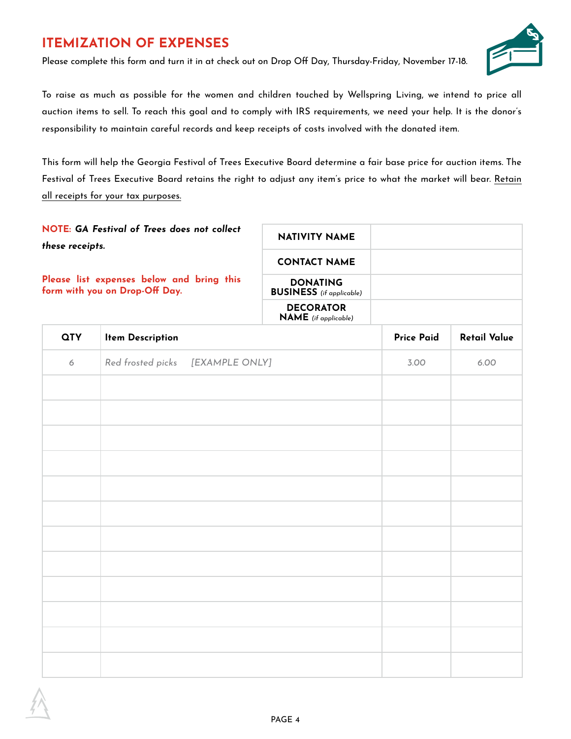# **ITEMIZATION OF EXPENSES**

Please complete this form and turn it in at check out on Drop Off Day, Thursday-Friday, November 17-18.



To raise as much as possible for the women and children touched by Wellspring Living, we intend to price all auction items to sell. To reach this goal and to comply with IRS requirements, we need your help. It is the donor's responsibility to maintain careful records and keep receipts of costs involved with the donated item.

This form will help the Georgia Festival of Trees Executive Board determine a fair base price for auction items. The Festival of Trees Executive Board retains the right to adjust any item's price to what the market will bear. Retain all receipts for your tax purposes.

| NOTE: GA Festival of Trees does not collect<br>these receipts.<br>Please list expenses below and bring this<br>form with you on Drop-Off Day. |                                     | <b>NATIVITY NAME</b><br><b>CONTACT NAME</b><br><b>DONATING</b><br><b>BUSINESS</b> (if applicable) |                   |                     |
|-----------------------------------------------------------------------------------------------------------------------------------------------|-------------------------------------|---------------------------------------------------------------------------------------------------|-------------------|---------------------|
|                                                                                                                                               |                                     |                                                                                                   |                   |                     |
|                                                                                                                                               |                                     |                                                                                                   |                   |                     |
|                                                                                                                                               |                                     | <b>DECORATOR</b><br><b>NAME</b> (if applicable)                                                   |                   |                     |
| <b>QTY</b>                                                                                                                                    | <b>Item Description</b>             |                                                                                                   | <b>Price Paid</b> | <b>Retail Value</b> |
| 6                                                                                                                                             | Red frosted picks<br>[EXAMPLE ONLY] |                                                                                                   | 3.00              | 6.00                |
|                                                                                                                                               |                                     |                                                                                                   |                   |                     |
|                                                                                                                                               |                                     |                                                                                                   |                   |                     |
|                                                                                                                                               |                                     |                                                                                                   |                   |                     |
|                                                                                                                                               |                                     |                                                                                                   |                   |                     |
|                                                                                                                                               |                                     |                                                                                                   |                   |                     |
|                                                                                                                                               |                                     |                                                                                                   |                   |                     |
|                                                                                                                                               |                                     |                                                                                                   |                   |                     |
|                                                                                                                                               |                                     |                                                                                                   |                   |                     |
|                                                                                                                                               |                                     |                                                                                                   |                   |                     |
|                                                                                                                                               |                                     |                                                                                                   |                   |                     |
|                                                                                                                                               |                                     |                                                                                                   |                   |                     |
|                                                                                                                                               |                                     |                                                                                                   |                   |                     |
|                                                                                                                                               |                                     |                                                                                                   |                   |                     |